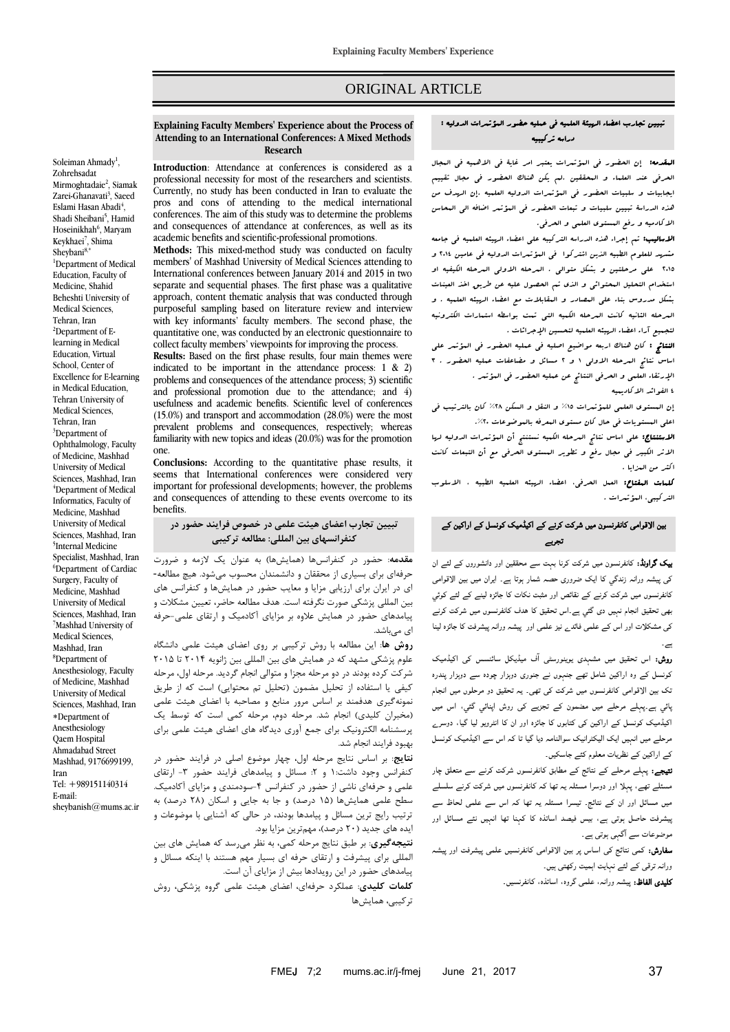# ORIGINAL ARTICLE

## تبیین تجارب اعضاء الهیئة العلمیه في عملیه حضور المؤتمرات الدولیه : دراسه ترکیبیه

المقدمه: إن الحضور في المؤتمرات یعتبر امر غایة في االهمیه في المجال الحرفي عند العلماء و المحققین .لم یکن هناک الحضور في مجال تقییم ایجابیات و سلبیات الحضور في المؤتمرات الدولیه العلمیه .إن الهدف من هذه الدراسة تبیین سلبیات و تبعات الحضور في المؤتمر اضافه الي المحاسن االکادمیه و رفع المستوی العلمي و الحرفي.

**الل**سالیب: تم إجراء هذه الدراسه الترکیبه علی اعضاء ال*رسینه* العلمیه ف<sub>ی</sub> جامعه مشهد للعلوم الطبیه الذین اشترکوا في المؤتمرات الدولیه في عامین 4102 و 4102 علي مرحلتین و بشکل متوالي . المرحله االولي المرحله الکیفیه او استخدام التحلیل المحتوائي و الذی تم الحصول علیه عن طریق اخذ العینات بشکل مدروس بناء علي المصادر و المقابالت مع اعضاء الهیئه العلمیه . و المرحله الثانیه کانت المرحله الکمیه التي تمت بواسطه استمارات الکترونیه لتجمیع آراء اعضاء الهیئه العلمیه لتحسین اإلجرائات .

النتائج : کان هناک اربعه مواضیع اصلیه في عملیه الحضور في المؤتمر علي اساس نتائج المرحله االولي 0 و 4 مسائل و مضاعفات عملیه الحضور . 3 اإلرتقاء العلمي و الحرفي النتائج عن عملیه الحضور في المؤتمر . 2 الفوائد االکادیمیه

إن المستوی العلمي للمؤتمرات %02 و النقل و السکن %42 کان بالترتیب في اعلي المستویات في حال کان مستوی المعرفه بالموضوعات .%41

االستنتاج: علي اساس نتائج المرحله الکمیه نستنتج أن المؤتمرات الدولیه لها االثر الکبیر في مجال رفع و تطویر المستوی الحرفي مع أن التبعات کانت اکثر من المزایا .

کلمات المفتاح: العمل الحرفي، اعضاء الهیئه العلمیه الطبیه ، االسلوب الترکیبي، المؤتمرات .

# بین الاقوامی کانفرنسون میں شرکت کرنے کے اکیڈمیک کونسل کے اراکین کے تجربے

بیک گراونڈ: کانفرنسون میں شرکت کرنا بہت سے محققین اور دانشوروں کے لئے ان کی پیشہ ورانہ زںدگي کا ایک ضروری حصہ شمار ہوتا ہے۔ ایران میں بین الاقوامی کانفرنسوں میں شرکت کرنے کے نقائص اور مثبت نکات کا جائزہ لینے کے لئے کوئي بھی تحقیق انجام نہيں دی گئي ہے۔اس تحقیق کا ھدف کانفرنسوں میں شرکت کرنے کی مشکلات اور اس کے علمی فائدے نیز علمی اور پیشہ ورانہ پیشرفت کا جائزہ لینا ہے۔

روش: اس تحقیق میں مشہدی یوینورسٹی ا ف میڈیکل سائنسس کی اکیڈمیک کونسل کے وہ اراکین شامل تھے جنہوں نے جنوری دوہزار چودہ سے دوہزار پندرہ تک بین الاقوامی کانفرنسوں میں شرکت کی تھی۔ یہ تحقیق دو مرحلوں میں انجام پائي ہے۔پہلے مرحلے میں مضمون کے تجزیے کی روش اپنائي گئي، اس میں اکیڈمیک کونسل کے اراکین کی کتابوں کا جائزہ اور ان کا انٹرویو لیا گيا، دوسرے مرحلے میں انہيں ایک الیکٹرانیک سوالنامہ دیا گیا تا کہ اس سے اکیڈمیک کونسل کے اراکین کے نظریات معلوم کئے جاسکیں۔

نتیجے: پہلے مرحلے کے نتائج کے مطابق کانفرنسوں شرکت کرنے سے متعلق چار مسئلے تھے، پہلا اور دوسرا مسئلہ یہ تھا کہ کانفرنسوں میں شرکت کرنے سلسلے میں مسائل اور ان کے نتائج۔ تیسرا مسئلہ یہ تھا کہ اس سے علمی لحاظ سے پیشرفت حاصل ہوتی ہے، بیس فیصد اساتذہ کا کہنا تھا انہیں نئے مسائل اور موضوعات سے ا گہی ہوتی ہے۔

سفارش: کمی نتائج کی اساس پر بین الاقوامی کانفرنسیں علمی پیشرفت اور پیشہ ورانہ ترقی کے لئے نہایت اہمیت رکھتی ہیں۔

**کلیدی الفاظ:** پیشہ ورانہ، علمی گروہ، اساتذہ، کانفرنسیں۔

#### **Explaining Faculty Members' Experience about the Process of Attending to an International Conferences: A Mixed Methods Research**

**Introduction**: Attendance at conferences is considered as a professional necessity for most of the researchers and scientists. Currently, no study has been conducted in Iran to evaluate the pros and cons of attending to the medical international conferences. The aim of this study was to determine the problems and consequences of attendance at conferences, as well as its academic benefits and scientific-professional promotions.

**Methods:** This mixed-method study was conducted on faculty members' of Mashhad University of Medical Sciences attending to International conferences between January 2014 and 2015 in two separate and sequential phases. The first phase was a qualitative approach, content thematic analysis that was conducted through purposeful sampling based on literature review and interview with key informants' faculty members. The second phase, the quantitative one, was conducted by an electronic questionnaire to collect faculty members' viewpoints for improving the process.

**Results:** Based on the first phase results, four main themes were indicated to be important in the attendance process: 1 & 2) problems and consequences of the attendance process; 3) scientific and professional promotion due to the attendance; and 4) usefulness and academic benefits. Scientific level of conferences (15.0%) and transport and accommodation (28.0%) were the most prevalent problems and consequences, respectively; whereas familiarity with new topics and ideas (20.0%) was for the promotion one.

**Conclusions:** According to the quantitative phase results, it seems that International conferences were considered very important for professional developments; however, the problems and consequences of attending to these events overcome to its benefits.

#### **تبیین تجارب اعضای هیئت علمی در خصوص فرایند حضور در Keywords:** Professional practice, medial faculty, mixed method, **کنفرانسهای بین المللی: مطالعه ترکیبی** conferences in the conferences of the conferences in the conferences in the conferences in the conferences in the conferences in the conferences in the conferences in the conferences in the conferences in the conferences i

**مقدمه**: حضور در کنفرانسها )همایشها( به عنوان یک الزمه و ضرورت حرفهای برای بسیاری از محققان و دانشمندان محسوب میشود. هیچ مطالعه- ای در ایران برای ارزیابی مزایا و معایب حضور در همایشها و کنفرانس های بین المللی پزشکی صورت نگرفته است. هدف مطالعه حاضر، تعیین مشکالت و پیامدهای حضور در همایش عالوه بر مزایای آکادمیک و ارتقای علمی-حرفه ای م<sub>یا</sub>باشد.

**روش ها**: این مطالعه با روش ترکیبی بر روی اعضای هیئت علمی دانشگاه علوم پزشکی مشهد که در همایش های بین المللی بین ژانویه 4102 تا 4102 شرکت کرده بودند در دو مرحله مجزا و متوالی انجام گردید. مرحله اول، مرحله کیفی یا استفاده از تحلیل مضمون (تحلیل تم محتوایی) است که از طریق نمونهگیری هدفمند بر اساس مرور منابع و مصاحبه با اعضای هیئت علمی (مخبران کلیدی) انجام شد. مرحله دوم، مرحله کمی است که توسط یک پرسشنامه الکترونیک برای جمع آوری دیدگاه های اعضای هیئت علمی برای بهبود فرایند انجام شد.

**نتایج**: بر اساس نتایج مرحله اول، چهار موضوع اصلی در فرایند حضور در کنفرانس وجود داشت: ١ و ٢: مسائل و پیامدهای فرایند حضور ٣- ارتقای علمی و حرفهای ناشی از حضور در کنفرانس -2سودمندی و مزایای آکادمیک. سطح علمی همایشها (۱۵ درصد) و جا به جایی و اسکان (۲۸ درصد) به ترتیب رایج ترین مسائل و پیامدها بودند، در حالی که آشنایی با موضوعات و ایده های جدید (۲۰ درصد)، مهمترین مزایا بود.

**نتیجهگیری**: بر طبق نتایج مرحله کمی، به نظر میرسد که همایش های بین المللی برای پیشرفت و ارتقای حرفه ای بسیار مهم هستند با اینکه مسائل و پیامدهای حضور در این رویدادها بیش از مزایای آن است.

**کلمات کلیدی**: عملکرد حرفهای، اعضای هیئت علمی گروه پزشکی، روش ترکیبی، همایشها

Zohrehsadat Mirmoghtadaie<sup>2</sup>, Siamak Zarei-Ghanavati<sup>3</sup>, Saeed Eslami Hasan Abadi<sup>4</sup>, Shadi Sheibani<sup>5</sup>, Hamid Hoseinikhah<sup>6</sup>, Maryam Keykhaei<sup>7</sup>, Shima Sheybani<sup>8,\*</sup> <sup>1</sup>Department of Medical Education, Faculty of Medicine, Shahid Beheshti University of Medical Sciences, Tehran, Iran 2Department of Elearning in Medical Education, Virtual School, Center of Excellence for E-learning in Medical Education, Tehran University of Medical Sciences, Tehran, Iran <sup>3</sup>Department of Ophthalmology, Faculty of Medicine, Mashhad University of Medical Sciences, Mashhad, Iran <sup>4</sup>Department of Medical Informatics, Faculty of Medicine, Mashhad University of Medical Sciences, Mashhad, Iran 5 Internal Medicine Specialist, Mashhad, Iran  $6$ Department of Cardiac Surgery, Faculty of Medicine, Mashhad University of Medical Sciences, Mashhad, Iran <sup>7</sup>Mashhad University of Medical Sciences, Mashhad, Iran <sup>8</sup>Department of Anesthesiology, Faculty of Medicine, Mashhad University of Medical Sciences, Mashhad, Iran Department of Anesthesiology Qaem Hospital Ahmadabad Street Mashhad, 9176699199, Iran Tel: +989151140314 E-mail: sheybanish@mums.ac.ir

Soleiman Ahmady<sup>1</sup>,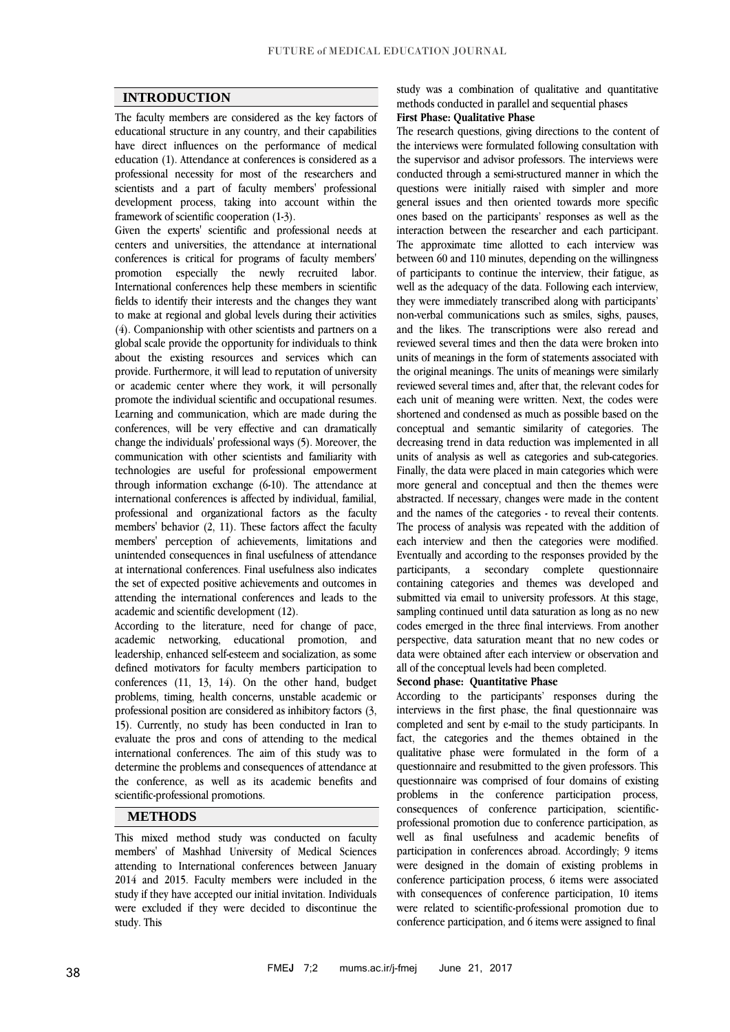# **INTRODUCTION**

The faculty members are considered as the key factors of educational structure in any country, and their capabilities have direct influences on the performance of medical education [\(1\)](#page-5-0). Attendance at conferences is considered as a professional necessity for most of the researchers and scientists and a part of faculty members' professional development process, taking into account within the framework of scientific cooperation [\(1-3\)](#page-5-0).

Given the experts' scientific and professional needs at centers and universities, the attendance at international conferences is critical for programs of faculty members' promotion especially the newly recruited labor. International conferences help these members in scientific fields to identify their interests and the changes they want to make at regional and global levels during their activities [\(4\)](#page-5-1). Companionship with other scientists and partners on a global scale provide the opportunity for individuals to think about the existing resources and services which can provide. Furthermore, it will lead to reputation of university or academic center where they work, it will personally promote the individual scientific and occupational resumes. Learning and communication, which are made during the conferences, will be very effective and can dramatically change the individuals' professional ways [\(5\)](#page-5-2). Moreover, the communication with other scientists and familiarity with technologies are useful for professional empowerment through information exchange [\(6-10\)](#page-5-3). The attendance at international conferences is affected by individual, familial, professional and organizational factors as the faculty members' behavior [\(2,](#page-5-4) [11\)](#page-5-5). These factors affect the faculty members' perception of achievements, limitations and unintended consequences in final usefulness of attendance at international conferences. Final usefulness also indicates the set of expected positive achievements and outcomes in attending the international conferences and leads to the academic and scientific development [\(12\)](#page-5-6).

According to the literature, need for change of pace, academic networking, educational promotion, and leadership, enhanced self-esteem and socialization, as some defined motivators for faculty members participation to conferences [\(11,](#page-5-5) [13,](#page-5-7) [14\)](#page-5-8). On the other hand, budget problems, timing, health concerns, unstable academic or professional position are considered as inhibitory factors [\(3,](#page-5-9) [15\)](#page-5-10). Currently, no study has been conducted in Iran to evaluate the pros and cons of attending to the medical international conferences. The aim of this study was to determine the problems and consequences of attendance at the conference, as well as its academic benefits and scientific-professional promotions.

# **METHODS**

This mixed method study was conducted on faculty members' of Mashhad University of Medical Sciences attending to International conferences between January 2014 and 2015. Faculty members were included in the study if they have accepted our initial invitation. Individuals were excluded if they were decided to discontinue the study. This

study was a combination of qualitative and quantitative methods conducted in parallel and sequential phases

# **First Phase: Qualitative Phase**

The research questions, giving directions to the content of the interviews were formulated following consultation with the supervisor and advisor professors. The interviews were conducted through a semi-structured manner in which the questions were initially raised with simpler and more general issues and then oriented towards more specific ones based on the participants' responses as well as the interaction between the researcher and each participant. The approximate time allotted to each interview was between 60 and 110 minutes, depending on the willingness of participants to continue the interview, their fatigue, as well as the adequacy of the data. Following each interview, they were immediately transcribed along with participants' non-verbal communications such as smiles, sighs, pauses, and the likes. The transcriptions were also reread and reviewed several times and then the data were broken into units of meanings in the form of statements associated with the original meanings. The units of meanings were similarly reviewed several times and, after that, the relevant codes for each unit of meaning were written. Next, the codes were shortened and condensed as much as possible based on the conceptual and semantic similarity of categories. The decreasing trend in data reduction was implemented in all units of analysis as well as categories and sub-categories. Finally, the data were placed in main categories which were more general and conceptual and then the themes were abstracted. If necessary, changes were made in the content and the names of the categories - to reveal their contents. The process of analysis was repeated with the addition of each interview and then the categories were modified. Eventually and according to the responses provided by the participants, a secondary complete questionnaire containing categories and themes was developed and submitted via email to university professors. At this stage, sampling continued until data saturation as long as no new codes emerged in the three final interviews. From another perspective, data saturation meant that no new codes or data were obtained after each interview or observation and all of the conceptual levels had been completed.

#### **Second phase: Quantitative Phase**

According to the participants' responses during the interviews in the first phase, the final questionnaire was completed and sent by e-mail to the study participants. In fact, the categories and the themes obtained in the qualitative phase were formulated in the form of a questionnaire and resubmitted to the given professors. This questionnaire was comprised of four domains of existing problems in the conference participation process, consequences of conference participation, scientificprofessional promotion due to conference participation, as well as final usefulness and academic benefits of participation in conferences abroad. Accordingly; 9 items were designed in the domain of existing problems in conference participation process, 6 items were associated with consequences of conference participation, 10 items were related to scientific-professional promotion due to conference participation, and 6 items were assigned to final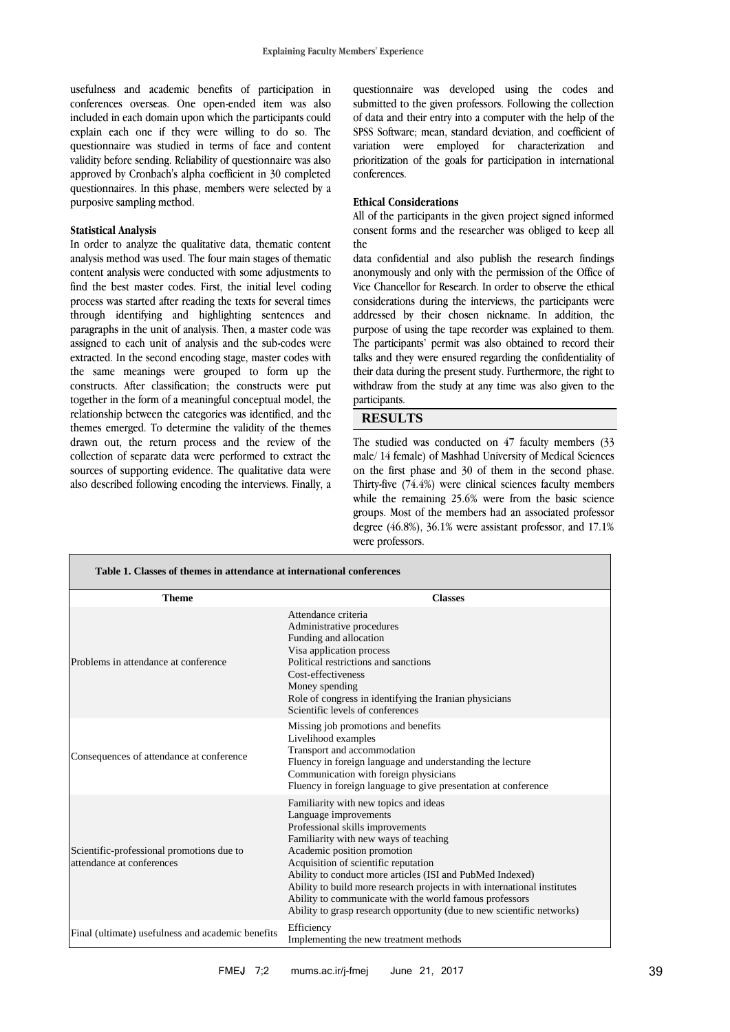usefulness and academic benefits of participation in conferences overseas. One open-ended item was also included in each domain upon which the participants could explain each one if they were willing to do so. The questionnaire was studied in terms of face and content validity before sending. Reliability of questionnaire was also approved by Cronbach's alpha coefficient in 30 completed questionnaires. In this phase, members were selected by a purposive sampling method.

#### **Statistical Analysis**

In order to analyze the qualitative data, thematic content analysis method was used. The four main stages of thematic content analysis were conducted with some adjustments to find the best master codes. First, the initial level coding process was started after reading the texts for several times through identifying and highlighting sentences and paragraphs in the unit of analysis. Then, a master code was assigned to each unit of analysis and the sub-codes were extracted. In the second encoding stage, master codes with the same meanings were grouped to form up the constructs. After classification; the constructs were put together in the form of a meaningful conceptual model, the relationship between the categories was identified, and the themes emerged. To determine the validity of the themes drawn out, the return process and the review of the collection of separate data were performed to extract the sources of supporting evidence. The qualitative data were also described following encoding the interviews. Finally, a

questionnaire was developed using the codes and submitted to the given professors. Following the collection of data and their entry into a computer with the help of the SPSS Software; mean, standard deviation, and coefficient of variation were employed for characterization and prioritization of the goals for participation in international conferences.

### **Ethical Considerations**

All of the participants in the given project signed informed consent forms and the researcher was obliged to keep all the

data confidential and also publish the research findings anonymously and only with the permission of the Office of Vice Chancellor for Research. In order to observe the ethical considerations during the interviews, the participants were addressed by their chosen nickname. In addition, the purpose of using the tape recorder was explained to them. The participants' permit was also obtained to record their talks and they were ensured regarding the confidentiality of their data during the present study. Furthermore, the right to withdraw from the study at any time was also given to the participants.

## **RESULTS**

The studied was conducted on 47 faculty members (33 male/ 14 female) of Mashhad University of Medical Sciences on the first phase and 30 of them in the second phase. Thirty-five (74.4%) were clinical sciences faculty members while the remaining 25.6% were from the basic science groups. Most of the members had an associated professor degree (46.8%), 36.1% were assistant professor, and 17.1% were professors.

| Table 1. Classes of themes in attendance at international conferences  |                                                                                                                                                                                                                                                                                                                                                                                                                                                                                                  |
|------------------------------------------------------------------------|--------------------------------------------------------------------------------------------------------------------------------------------------------------------------------------------------------------------------------------------------------------------------------------------------------------------------------------------------------------------------------------------------------------------------------------------------------------------------------------------------|
| <b>Theme</b>                                                           | <b>Classes</b>                                                                                                                                                                                                                                                                                                                                                                                                                                                                                   |
| Problems in attendance at conference                                   | Attendance criteria<br>Administrative procedures<br>Funding and allocation<br>Visa application process<br>Political restrictions and sanctions<br>Cost-effectiveness<br>Money spending<br>Role of congress in identifying the Iranian physicians<br>Scientific levels of conferences                                                                                                                                                                                                             |
| Consequences of attendance at conference                               | Missing job promotions and benefits<br>Livelihood examples<br>Transport and accommodation<br>Fluency in foreign language and understanding the lecture<br>Communication with foreign physicians<br>Fluency in foreign language to give presentation at conference                                                                                                                                                                                                                                |
| Scientific-professional promotions due to<br>attendance at conferences | Familiarity with new topics and ideas<br>Language improvements<br>Professional skills improvements<br>Familiarity with new ways of teaching<br>Academic position promotion<br>Acquisition of scientific reputation<br>Ability to conduct more articles (ISI and PubMed Indexed)<br>Ability to build more research projects in with international institutes<br>Ability to communicate with the world famous professors<br>Ability to grasp research opportunity (due to new scientific networks) |
| Final (ultimate) usefulness and academic benefits                      | Efficiency<br>Implementing the new treatment methods                                                                                                                                                                                                                                                                                                                                                                                                                                             |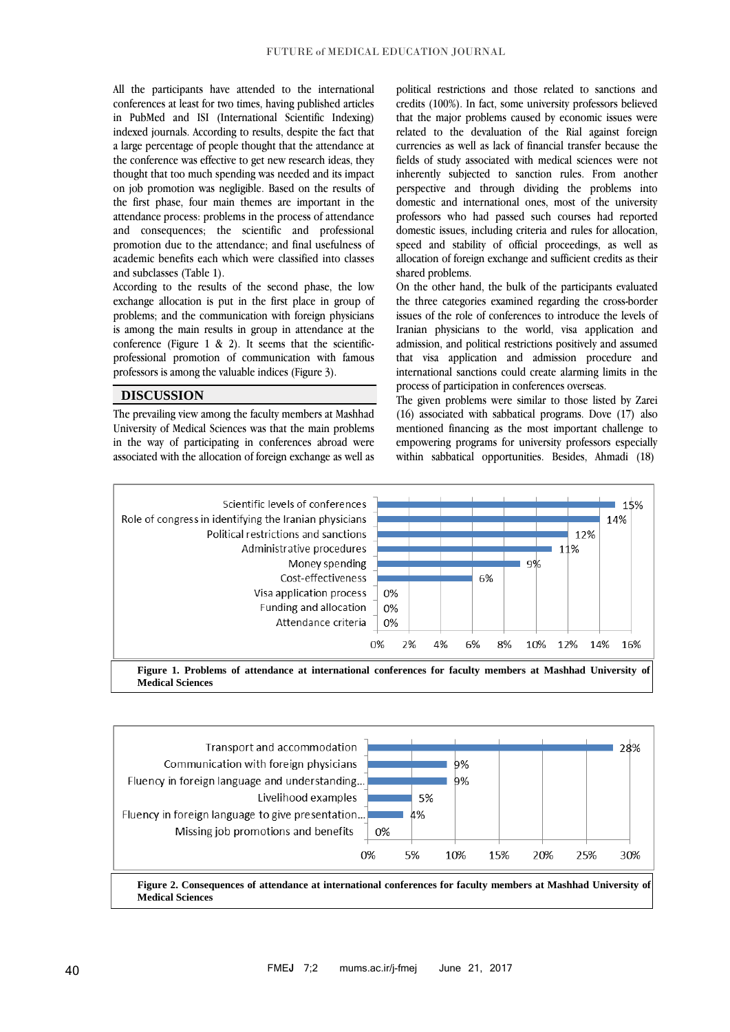All the participants have attended to the international conferences at least for two times, having published articles in PubMed and ISI (International Scientific Indexing) indexed journals. According to results, despite the fact that a large percentage of people thought that the attendance at the conference was effective to get new research ideas, they thought that too much spending was needed and its impact on job promotion was negligible. Based on the results of the first phase, four main themes are important in the attendance process: problems in the process of attendance and consequences; the scientific and professional promotion due to the attendance; and final usefulness of academic benefits each which were classified into classes and subclasses (Table 1).

According to the results of the second phase, the low exchange allocation is put in the first place in group of problems; and the communication with foreign physicians is among the main results in group in attendance at the conference (Figure 1  $\&$  2). It seems that the scientificprofessional promotion of communication with famous professors is among the valuable indices (Figure 3).

# **DISCUSSION**

The prevailing view among the faculty members at Mashhad University of Medical Sciences was that the main problems in the way of participating in conferences abroad were associated with the allocation of foreign exchange as well as

political restrictions and those related to sanctions and credits (100%). In fact, some university professors believed that the major problems caused by economic issues were related to the devaluation of the Rial against foreign currencies as well as lack of financial transfer because the fields of study associated with medical sciences were not inherently subjected to sanction rules. From another perspective and through dividing the problems into domestic and international ones, most of the university professors who had passed such courses had reported domestic issues, including criteria and rules for allocation, speed and stability of official proceedings, as well as allocation of foreign exchange and sufficient credits as their shared problems.

On the other hand, the bulk of the participants evaluated the three categories examined regarding the cross-border issues of the role of conferences to introduce the levels of Iranian physicians to the world, visa application and admission, and political restrictions positively and assumed that visa application and admission procedure and international sanctions could create alarming limits in the process of participation in conferences overseas.

The given problems were similar to those listed by Zarei (16) associated with sabbatical programs. Dove [\(17\)](#page-5-11) also mentioned financing as the most important challenge to empowering programs for university professors especially within sabbatical opportunities. Besides, Ahmadi [\(18\)](#page-5-12)



**Figure 1. Problems of attendance at international conferences for faculty members at Mashhad University of Medical Sciences**

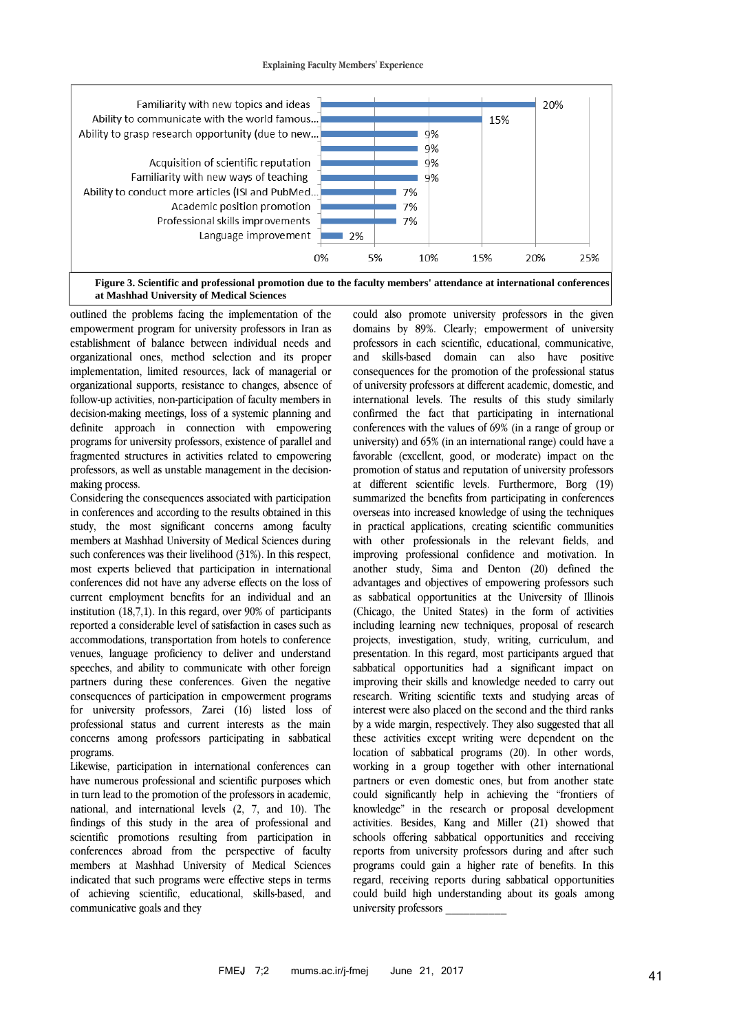



outlined the problems facing the implementation of the empowerment program for university professors in Iran as establishment of balance between individual needs and organizational ones, method selection and its proper implementation, limited resources, lack of managerial or organizational supports, resistance to changes, absence of follow-up activities, non-participation of faculty members in decision-making meetings, loss of a systemic planning and definite approach in connection with empowering programs for university professors, existence of parallel and fragmented structures in activities related to empowering professors, as well as unstable management in the decisionmaking process.

Considering the consequences associated with participation in conferences and according to the results obtained in this study, the most significant concerns among faculty members at Mashhad University of Medical Sciences during such conferences was their livelihood (31%). In this respect, most experts believed that participation in international conferences did not have any adverse effects on the loss of current employment benefits for an individual and an institution (18,7,1). In this regard, over 90% of participants reported a considerable level of satisfaction in cases such as accommodations, transportation from hotels to conference venues, language proficiency to deliver and understand speeches, and ability to communicate with other foreign partners during these conferences. Given the negative consequences of participation in empowerment programs for university professors, Zarei (16) listed loss of professional status and current interests as the main concerns among professors participating in sabbatical programs.

Likewise, participation in international conferences can have numerous professional and scientific purposes which in turn lead to the promotion of the professors in academic, national, and international levels (2, 7, and 10). The findings of this study in the area of professional and scientific promotions resulting from participation in conferences abroad from the perspective of faculty members at Mashhad University of Medical Sciences indicated that such programs were effective steps in terms of achieving scientific, educational, skills-based, and communicative goals and they

could also promote university professors in the given domains by 89%. Clearly; empowerment of university professors in each scientific, educational, communicative, and skills-based domain can also have positive consequences for the promotion of the professional status of university professors at different academic, domestic, and international levels. The results of this study similarly confirmed the fact that participating in international conferences with the values of 69% (in a range of group or university) and 65% (in an international range) could have a favorable (excellent, good, or moderate) impact on the promotion of status and reputation of university professors at different scientific levels. Furthermore, Borg (19) summarized the benefits from participating in conferences overseas into increased knowledge of using the techniques in practical applications, creating scientific communities with other professionals in the relevant fields, and improving professional confidence and motivation. In another study, Sima and Denton (20) defined the advantages and objectives of empowering professors such as sabbatical opportunities at the University of Illinois (Chicago, the United States) in the form of activities including learning new techniques, proposal of research projects, investigation, study, writing, curriculum, and presentation. In this regard, most participants argued that sabbatical opportunities had a significant impact on improving their skills and knowledge needed to carry out research. Writing scientific texts and studying areas of interest were also placed on the second and the third ranks by a wide margin, respectively. They also suggested that all these activities except writing were dependent on the location of sabbatical programs (20). In other words, working in a group together with other international partners or even domestic ones, but from another state could significantly help in achieving the "frontiers of knowledge" in the research or proposal development activities. Besides, Kang and Miller (21) showed that schools offering sabbatical opportunities and receiving reports from university professors during and after such programs could gain a higher rate of benefits. In this regard, receiving reports during sabbatical opportunities could build high understanding about its goals among university professors \_\_\_\_\_\_\_\_\_\_